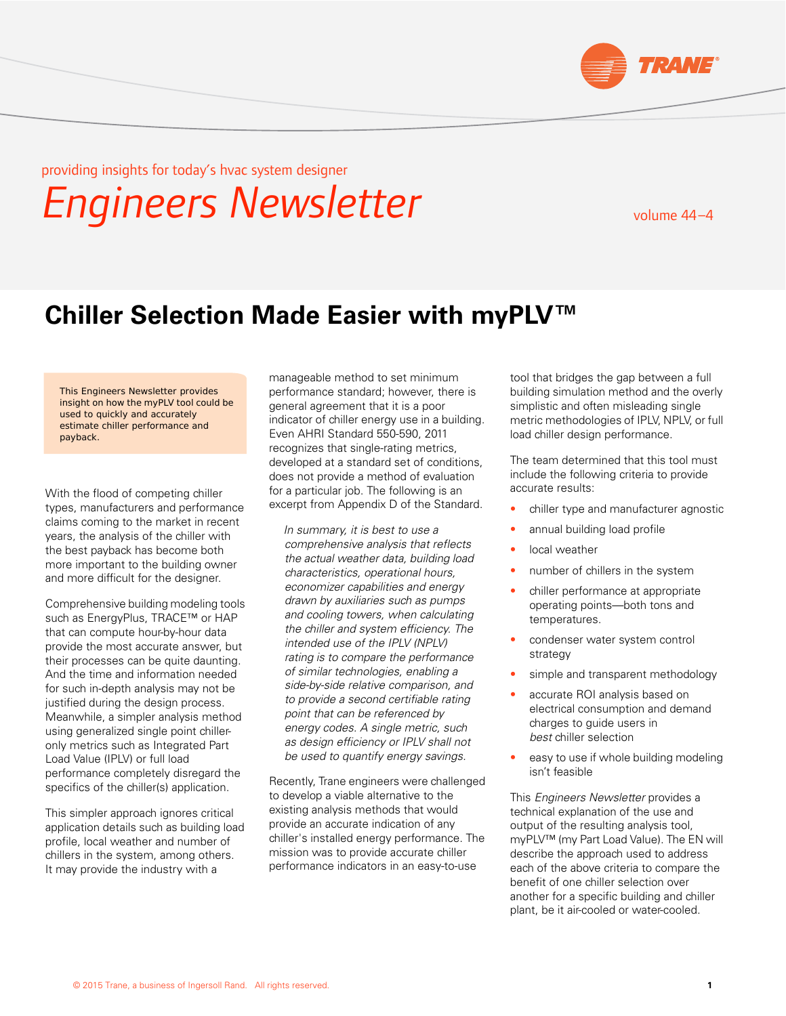

providing insights for today's hvac system designer

# *Engineers Newsletter*

# volume 44 –4

# **Chiller Selection Made Easier with myPLV™**

This Engineers Newsletter provides insight on how the myPLV tool could be used to quickly and accurately estimate chiller performance and payback.

With the flood of competing chiller types, manufacturers and performance claims coming to the market in recent years, the analysis of the chiller with the best payback has become both more important to the building owner and more difficult for the designer.

Comprehensive building modeling tools such as EnergyPlus, TRACE<sup>™</sup> or HAP that can compute hour-by-hour data provide the most accurate answer, but their processes can be quite daunting. And the time and information needed for such in-depth analysis may not be justified during the design process. Meanwhile, a simpler analysis method using generalized single point chilleronly metrics such as Integrated Part Load Value (IPLV) or full load performance completely disregard the specifics of the chiller(s) application.

This simpler approach ignores critical application details such as building load profile, local weather and number of chillers in the system, among others. It may provide the industry with a

manageable method to set minimum performance standard; however, there is general agreement that it is a poor indicator of chiller energy use in a building. Even AHRI Standard 550-590, 2011 recognizes that single-rating metrics, developed at a standard set of conditions, does not provide a method of evaluation for a particular job. The following is an excerpt from Appendix D of the Standard.

*In summary, it is best to use a comprehensive analysis that reflects the actual weather data, building load characteristics, operational hours, economizer capabilities and energy drawn by auxiliaries such as pumps and cooling towers, when calculating the chiller and system efficiency. The intended use of the IPLV (NPLV) rating is to compare the performance of similar technologies, enabling a side-by-side relative comparison, and to provide a second certifiable rating point that can be referenced by energy codes. A single metric, such as design efficiency or IPLV shall not be used to quantify energy savings.*

Recently, Trane engineers were challenged to develop a viable alternative to the existing analysis methods that would provide an accurate indication of any chiller's installed energy performance. The mission was to provide accurate chiller performance indicators in an easy-to-use

tool that bridges the gap between a full building simulation method and the overly simplistic and often misleading single metric methodologies of IPLV, NPLV, or full load chiller design performance.

The team determined that this tool must include the following criteria to provide accurate results:

- chiller type and manufacturer agnostic
- annual building load profile
- local weather
- number of chillers in the system
- chiller performance at appropriate operating points—both tons and temperatures.
- condenser water system control strategy
- simple and transparent methodology
- accurate ROI analysis based on electrical consumption and demand charges to guide users in *best* chiller selection
- easy to use if whole building modeling isn't feasible

This *Engineers Newsletter* provides a technical explanation of the use and output of the resulting analysis tool, myPLV™ (my Part Load Value). The EN will describe the approach used to address each of the above criteria to compare the benefit of one chiller selection over another for a specific building and chiller plant, be it air-cooled or water-cooled.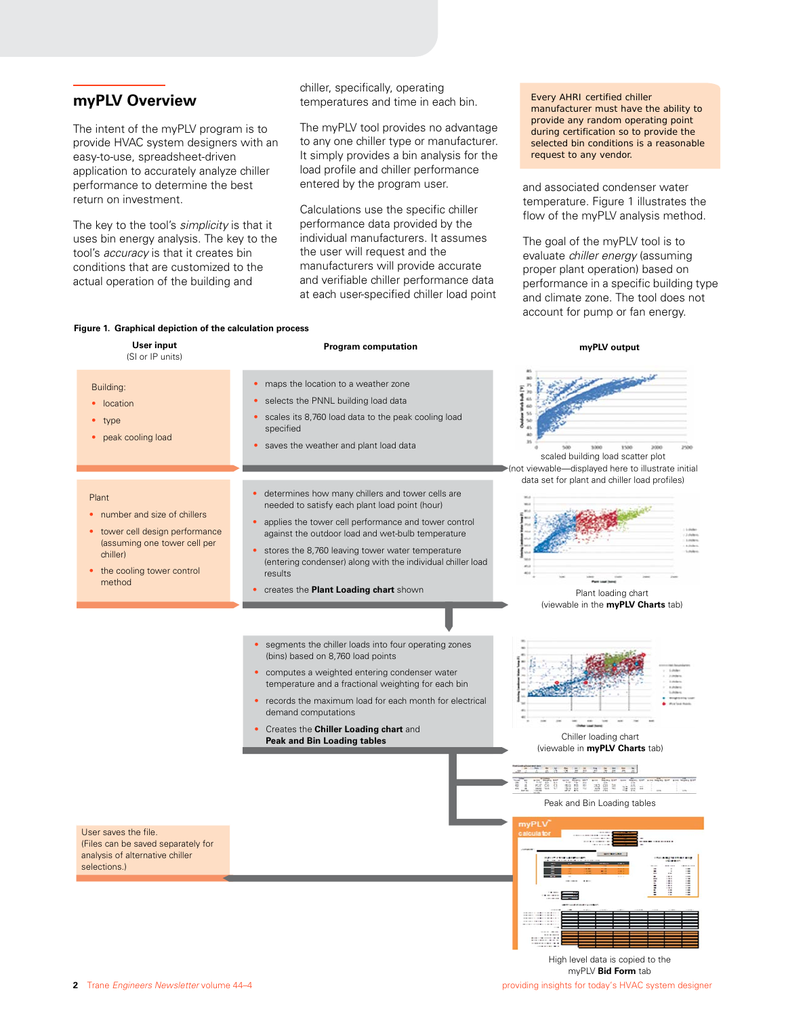# **myPLV Overview**

The intent of the myPLV program is to provide HVAC system designers with an easy-to-use, spreadsheet-driven application to accurately analyze chiller performance to determine the best return on investment.

The key to the tool's *simplicity* is that it uses bin energy analysis. The key to the tool's *accuracy* is that it creates bin conditions that are customized to the actual operation of the building and

chiller, specifically, operating temperatures and time in each bin.

The myPLV tool provides no advantage to any one chiller type or manufacturer. It simply provides a bin analysis for the load profile and chiller performance entered by the program user.

Calculations use the specific chiller performance data provided by the individual manufacturers. It assumes the user will request and the manufacturers will provide accurate and verifiable chiller performance data at each user-specified chiller load point

Every AHRI certified chiller manufacturer must have the ability to provide any random operating point during certification so to provide the selected bin conditions is a reasonable request to any vendor.

and associated condenser water temperature. Figure 1 illustrates the flow of the myPLV analysis method.

The goal of the myPLV tool is to evaluate *chiller energy* (assuming proper plant operation) based on performance in a specific building type and climate zone. The tool does not account for pump or fan energy.

#### **Figure 1. Graphical depiction of the calculation process**

| User input<br>(SI or IP units)                                                                                                                             | <b>Program computation</b>                                                                                                                                                                                                                                                                                                                                                                     | myPLV output                                                                                                        |
|------------------------------------------------------------------------------------------------------------------------------------------------------------|------------------------------------------------------------------------------------------------------------------------------------------------------------------------------------------------------------------------------------------------------------------------------------------------------------------------------------------------------------------------------------------------|---------------------------------------------------------------------------------------------------------------------|
| Building:<br>• location<br>type<br>peak cooling load                                                                                                       | • maps the location to a weather zone<br>selects the PNNL building load data<br>$\bullet$<br>scales its 8,760 load data to the peak cooling load<br>specified<br>• saves the weather and plant load data                                                                                                                                                                                       | saw<br><b>ESOR</b><br>scaled building load scatter plot<br>>(not viewable-displayed here to illustrate initial      |
| Plant<br>number and size of chillers<br>tower cell design performance<br>(assuming one tower cell per<br>chiller)<br>• the cooling tower control<br>method | • determines how many chillers and tower cells are<br>needed to satisfy each plant load point (hour)<br>• applies the tower cell performance and tower control<br>against the outdoor load and wet-bulb temperature<br>• stores the 8,760 leaving tower water temperature<br>(entering condenser) along with the individual chiller load<br>results<br>• creates the Plant Loading chart shown | data set for plant and chiller load profiles)<br>Plant loading chart<br>(viewable in the myPLV Charts tab)          |
|                                                                                                                                                            | segments the chiller loads into four operating zones<br>(bins) based on 8,760 load points<br>• computes a weighted entering condenser water<br>temperature and a fractional weighting for each bin<br>• records the maximum load for each month for electrical<br>demand computations<br>• Creates the Chiller Loading chart and<br><b>Peak and Bin Loading tables</b>                         | Chiller loading chart<br>(viewable in myPLV Charts tab)<br>腹膜周<br>証答明<br>温里兰<br>蛙器 #<br>Peak and Bin Loading tables |
| User saves the file.<br>(Files can be saved separately for<br>analysis of alternative chiller<br>selections.)                                              |                                                                                                                                                                                                                                                                                                                                                                                                | myPLV<br>iiiiiiii<br>attitud.                                                                                       |

**2** Trane *Engineers Newsletter* volume 44–4 **providing insights for today's HVAC system designer providing insights for today's HVAC system designer** High level data is copied to the myPLV **Bid Form** tab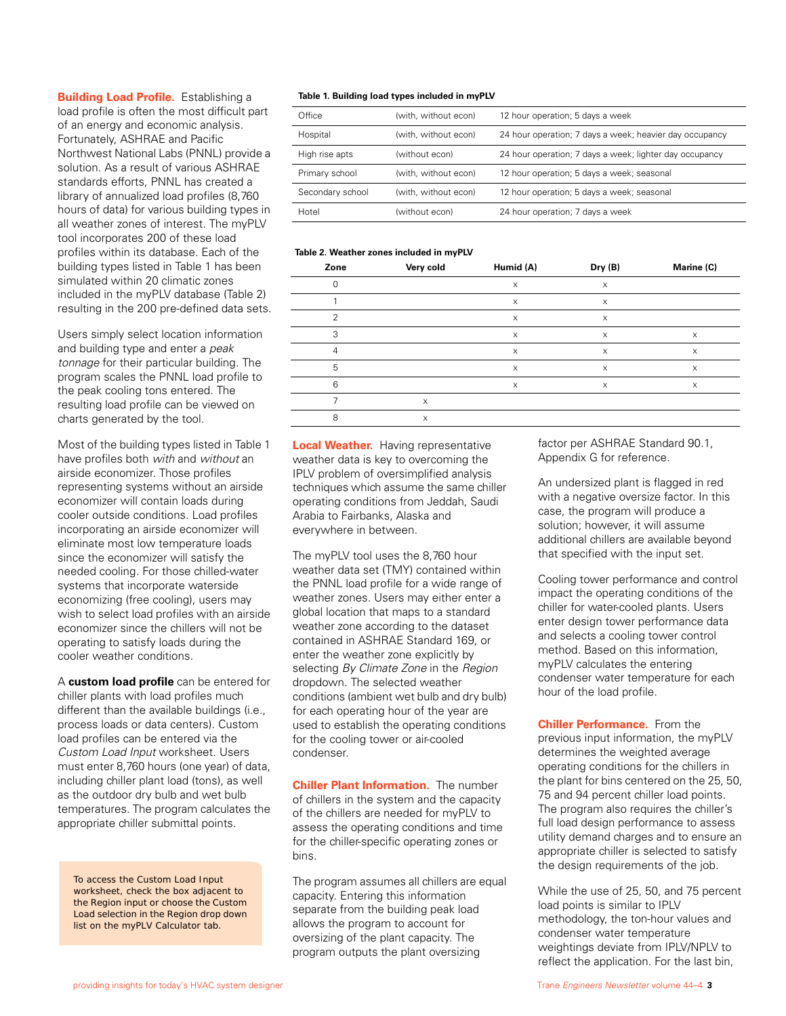**Building Load Profile.** Establishing a load profile is often the most difficult part of an energy and economic analysis. Fortunately, ASHRAE and Pacific Northwest National Labs (PNNL) provide a solution. As a result of various ASHRAE standards efforts, PNNL has created a library of annualized load profiles (8,760 hours of data) for various building types in all weather zones of interest. The myPLV tool incorporates 200 of these load profiles within its database. Each of the building types listed in Table 1 has been simulated within 20 climatic zones included in the myPLV database (Table 2) resulting in the 200 pre-defined data sets.

Users simply select location information and building type and enter a *peak tonnage* for their particular building. The program scales the PNNL load profile to the peak cooling tons entered. The resulting load profile can be viewed on charts generated by the tool.

Most of the building types listed in Table 1 have profiles both *with* and *without* an airside economizer. Those profiles representing systems without an airside economizer will contain loads during cooler outside conditions. Load profiles incorporating an airside economizer will eliminate most low temperature loads since the economizer will satisfy the needed cooling. For those chilled-water systems that incorporate waterside economizing (free cooling), users may wish to select load profiles with an airside economizer since the chillers will not be operating to satisfy loads during the cooler weather conditions.

A **custom load profile** can be entered for chiller plants with load profiles much different than the available buildings (i.e., process loads or data centers). Custom load profiles can be entered via the *Custom Load Input* worksheet. Users must enter 8,760 hours (one year) of data, including chiller plant load (tons), as well as the outdoor dry bulb and wet bulb temperatures. The program calculates the appropriate chiller submittal points.

To access the *Custom Load Input* worksheet, check the box adjacent to the *Region* input or choose the *Custom Load* selection in the *Region* drop down list on the *myPLV Calculator* tab.

#### **Table 1. Building load types included in myPLV**

| Office           | (with, without econ) | 12 hour operation; 5 days a week                        |
|------------------|----------------------|---------------------------------------------------------|
| Hospital         | (with, without econ) | 24 hour operation; 7 days a week; heavier day occupancy |
| High rise apts   | (without econ)       | 24 hour operation; 7 days a week; lighter day occupancy |
| Primary school   | (with, without econ) | 12 hour operation; 5 days a week; seasonal              |
| Secondary school | (with, without econ) | 12 hour operation; 5 days a week; seasonal              |
| Hotel            | (without econ)       | 24 hour operation; 7 days a week                        |

#### **Table 2. Weather zones included in myPLV**

| Zone          | Very cold | Humid (A)                 | Dry (B) | Marine (C) |
|---------------|-----------|---------------------------|---------|------------|
| $\mathbf 0$   |           | $\boldsymbol{\mathsf{X}}$ | X       |            |
|               |           | $\boldsymbol{\mathsf{X}}$ | X       |            |
| $\mathcal{P}$ |           | X                         | X       |            |
| 3             |           | $\boldsymbol{\mathsf{X}}$ | X       | X          |
| 4             |           | X                         | X       | X          |
| 5             |           | X                         | X       | X          |
| 6             |           | X                         | X       | X          |
|               | X         |                           |         |            |
| 8             | X         |                           |         |            |

**Local Weather.** Having representative weather data is key to overcoming the IPLV problem of oversimplified analysis techniques which assume the same chiller operating conditions from Jeddah, Saudi Arabia to Fairbanks, Alaska and everywhere in between.

The myPLV tool uses the 8,760 hour weather data set (TMY) contained within the PNNL load profile for a wide range of weather zones. Users may either enter a global location that maps to a standard weather zone according to the dataset contained in ASHRAE Standard 169, or enter the weather zone explicitly by selecting *By Climate Zone* in the *Region* dropdown. The selected weather conditions (ambient wet bulb and dry bulb) for each operating hour of the year are used to establish the operating conditions for the cooling tower or air-cooled condenser.

**Chiller Plant Information.** The number of chillers in the system and the capacity of the chillers are needed for myPLV to assess the operating conditions and time for the chiller-specific operating zones or bins.

The program assumes all chillers are equal capacity. Entering this information separate from the building peak load allows the program to account for oversizing of the plant capacity. The program outputs the plant oversizing

factor per ASHRAE Standard 90.1, Appendix G for reference.

An undersized plant is flagged in red with a negative oversize factor. In this case, the program will produce a solution; however, it will assume additional chillers are available beyond that specified with the input set.

Cooling tower performance and control impact the operating conditions of the chiller for water-cooled plants. Users enter design tower performance data and selects a cooling tower control method. Based on this information, myPLV calculates the entering condenser water temperature for each hour of the load profile.

**Chiller Performance.** From the previous input information, the myPLV determines the weighted average operating conditions for the chillers in the plant for bins centered on the 25, 50, 75 and 94 percent chiller load points. The program also requires the chiller's full load design performance to assess utility demand charges and to ensure an appropriate chiller is selected to satisfy the design requirements of the job.

While the use of 25, 50, and 75 percent load points is similar to IPLV methodology, the ton-hour values and condenser water temperature weightings deviate from IPLV/NPLV to reflect the application. For the last bin,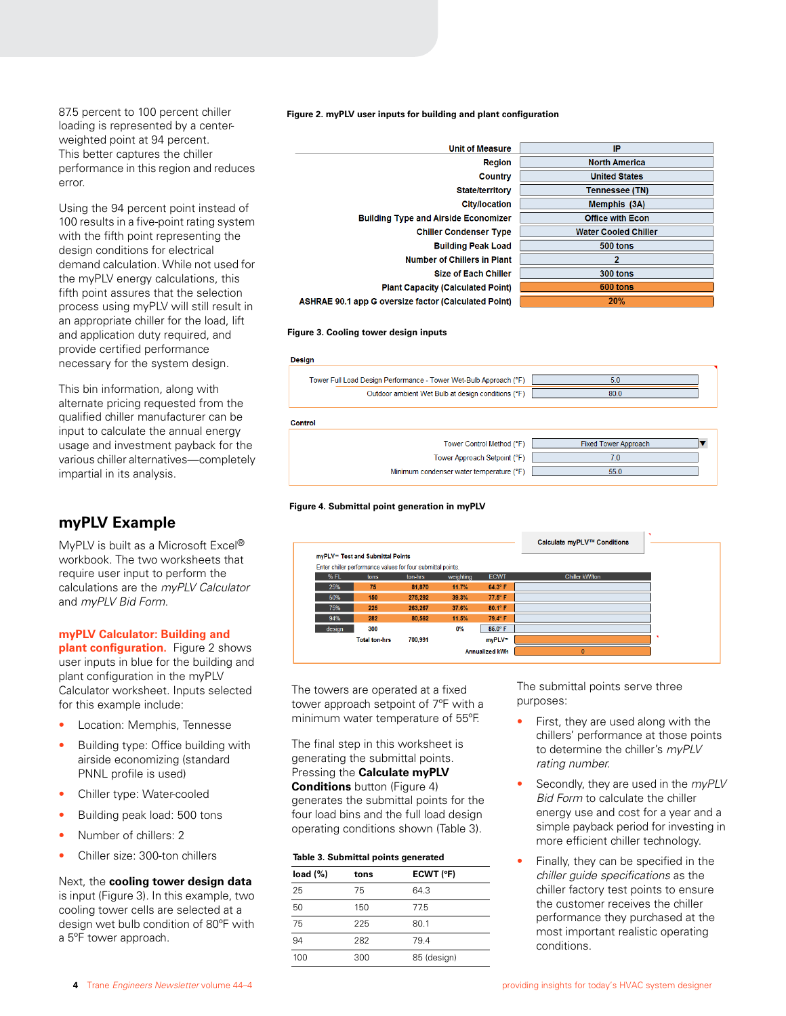87.5 percent to 100 percent chiller loading is represented by a centerweighted point at 94 percent. This better captures the chiller performance in this region and reduces error.

Using the 94 percent point instead of 100 results in a five-point rating system with the fifth point representing the design conditions for electrical demand calculation. While not used for the myPLV energy calculations, this fifth point assures that the selection process using myPLV will still result in an appropriate chiller for the load, lift and application duty required, and provide certified performance necessary for the system design.

This bin information, along with alternate pricing requested from the qualified chiller manufacturer can be input to calculate the annual energy usage and investment payback for the various chiller alternatives—completely impartial in its analysis.

# **myPLV Example**

MyPLV is built as a Microsoft Excel® workbook. The two worksheets that require user input to perform the calculations are the *myPLV Calculator* and *myPLV Bid Form*.

#### **myPLV Calculator: Building and**

**plant configuration.** Figure 2 shows user inputs in blue for the building and plant configuration in the myPLV Calculator worksheet. Inputs selected for this example include:

- Location: Memphis, Tennesse
- Building type: Office building with airside economizing (standard PNNL profile is used)
- Chiller type: Water-cooled
- Building peak load: 500 tons
- Number of chillers: 2
- Chiller size: 300-ton chillers

Next, the **cooling tower design data**  is input (Figure 3). In this example, two cooling tower cells are selected at a design wet bulb condition of 80ºF with a 5ºF tower approach.

**Figure 2. myPLV user inputs for building and plant configuration**

| <b>Unit of Measure</b>                                    | IP                          |
|-----------------------------------------------------------|-----------------------------|
| <b>Region</b>                                             | <b>North America</b>        |
| Country                                                   | <b>United States</b>        |
| <b>State/territory</b>                                    | <b>Tennessee (TN)</b>       |
| <b>City/location</b>                                      | Memphis (3A)                |
| <b>Building Type and Airside Economizer</b>               | <b>Office with Econ</b>     |
| <b>Chiller Condenser Type</b>                             | <b>Water Cooled Chiller</b> |
| <b>Building Peak Load</b>                                 | 500 tons                    |
| <b>Number of Chillers in Plant</b>                        | $\overline{2}$              |
| <b>Size of Each Chiller</b>                               | 300 tons                    |
| <b>Plant Capacity (Calculated Point)</b>                  | 600 tons                    |
| <b>IRAE 90.1 app G oversize factor (Calculated Point)</b> | 20%                         |
|                                                           |                             |

#### **Figure 3. Cooling tower design inputs**

**ASI** 



#### **Figure 4. Submittal point generation in myPLV**



The towers are operated at a fixed tower approach setpoint of 7ºF with a minimum water temperature of 55ºF.

The final step in this worksheet is generating the submittal points. Pressing the **Calculate myPLV Conditions** button (Figure 4) generates the submittal points for the four load bins and the full load design operating conditions shown (Table 3).

#### **Table 3. Submittal points generated**

| load $(\%)$ | tons | ECWT (°F)   |  |  |
|-------------|------|-------------|--|--|
| 25          | 75   | 64.3        |  |  |
| 50          | 150  | 77.5        |  |  |
| 75          | 225  | 80.1        |  |  |
| 94          | 282  | 79.4        |  |  |
| 100         | 300  | 85 (design) |  |  |

The submittal points serve three purposes:

- First, they are used along with the chillers' performance at those points to determine the chiller's *myPLV rating number*.
- Secondly, they are used in the *myPLV Bid Form* to calculate the chiller energy use and cost for a year and a simple payback period for investing in more efficient chiller technology.
- Finally, they can be specified in the *chiller guide specifications* as the chiller factory test points to ensure the customer receives the chiller performance they purchased at the most important realistic operating conditions.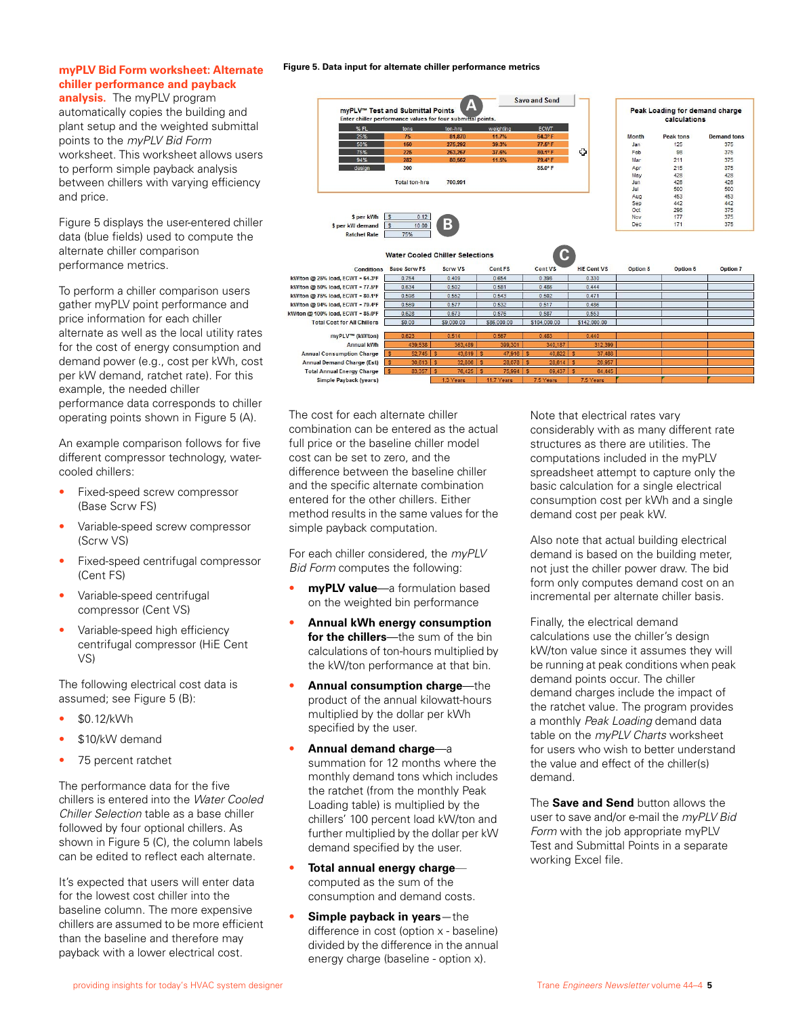# **myPLV Bid Form worksheet: Alternate chiller performance and payback**

**analysis.** The myPLV program automatically copies the building and plant setup and the weighted submittal points to the *myPLV Bid Form* worksheet. This worksheet allows users to perform simple payback analysis between chillers with varying efficiency and price.

Figure 5 displays the user-entered chiller data (blue fields) used to compute the alternate chiller comparison performance metrics.

To perform a chiller comparison users gather myPLV point performance and price information for each chiller alternate as well as the local utility rates for the cost of energy consumption and demand power (e.g., cost per kWh, cost per kW demand, ratchet rate). For this example, the needed chiller performance data corresponds to chiller operating points shown in Figure 5 (A).

An example comparison follows for five different compressor technology, watercooled chillers:

- Fixed-speed screw compressor (Base Scrw FS)
- Variable-speed screw compressor (Scrw VS)
- Fixed-speed centrifugal compressor (Cent FS)
- Variable-speed centrifugal compressor (Cent VS)
- Variable-speed high efficiency centrifugal compressor (HiE Cent VS)

The following electrical cost data is assumed; see Figure 5 (B):

- \$0.12/kWh
- \$10/kW demand
- 75 percent ratchet

The performance data for the five chillers is entered into the *Water Cooled Chiller Selection* table as a base chiller followed by four optional chillers. As shown in Figure 5 (C), the column labels can be edited to reflect each alternate.

It's expected that users will enter data for the lowest cost chiller into the baseline column. The more expensive chillers are assumed to be more efficient than the baseline and therefore may payback with a lower electrical cost.

**Figure 5. Data input for alternate chiller performance metrics**

|                                            |                                                                                                 |                |                        | <b>Save and Send</b>          |                        |              |                                                |                    |
|--------------------------------------------|-------------------------------------------------------------------------------------------------|----------------|------------------------|-------------------------------|------------------------|--------------|------------------------------------------------|--------------------|
|                                            | myPLV™ Test and Submittal Points<br>Enter chiller performance values for four submittal points. | A              |                        |                               |                        |              | Peak Loading for demand charge<br>calculations |                    |
| %FL                                        | tons                                                                                            | ton-hrs        | weighting              | <b>ECWT</b>                   |                        |              |                                                |                    |
| 25%                                        | 75                                                                                              | 81,870         | 11.7%                  | 64.3° F                       |                        | <b>Month</b> | Peak tons                                      | <b>Demand tons</b> |
| 50%                                        | 150                                                                                             | 275,292        | 39.3%                  | 77.5° F                       |                        | Jan          | 125                                            | 375                |
| 75%                                        | 225                                                                                             | 263,267        | 37.6%                  | 80.1° F                       | Ф                      | Feb          | 98                                             | 375                |
| 94%                                        | 282                                                                                             | 80.562         | 11.5%                  | 79.4° F                       |                        | Mar          | 211                                            | 375                |
| design                                     | 300                                                                                             |                |                        | 85.0°F                        |                        | Apr          | 215                                            | 375                |
|                                            |                                                                                                 |                |                        |                               |                        | May          | 428                                            | 428                |
|                                            | <b>Total ton-hrs</b>                                                                            | 700,991        |                        |                               |                        | Jun          | 426                                            | 426                |
|                                            |                                                                                                 |                |                        |                               |                        | Jul          | 500                                            | 500                |
|                                            |                                                                                                 |                |                        |                               |                        | Aug          | 453                                            | 453                |
|                                            |                                                                                                 |                |                        |                               |                        | Sep          | 442                                            | 442                |
|                                            |                                                                                                 |                |                        |                               |                        | Oct          | 298                                            | 375                |
| \$ per kWh                                 | $\mathsf{s}$<br>0.12                                                                            |                |                        |                               |                        | Nov          | 177                                            | 375                |
| \$ per kW demand                           | s<br>10.00                                                                                      | $\mathbf{B}$   |                        |                               |                        | <b>Dec</b>   | 171                                            | 375                |
| <b>Ratchet Rate</b>                        | 75%                                                                                             |                |                        |                               |                        |              |                                                |                    |
|                                            | <b>Water Cooled Chiller Selections</b><br><b>Base Scrw FS</b>                                   | <b>Scrw VS</b> | <b>Cent FS</b>         | $\mathbf C$<br><b>Cent VS</b> | <b>HiE Cent VS</b>     |              | Option 6                                       |                    |
| <b>Conditions</b>                          |                                                                                                 |                |                        |                               |                        | Option 5     |                                                | Option 7           |
| kW/ton @ 25% load, ECWT = 64.3°F           | 0.754                                                                                           | 0.409          | 0.654                  | 0.398                         | 0.330                  |              |                                                |                    |
| kW/ton @ 50% load, ECWT = 77.5°F           | 0.634                                                                                           | 0.502          | 0.581                  | 0.486                         | 0.444                  |              |                                                |                    |
| kW/ton @ 75% load. ECWT = $80.1^{\circ}$ F | 0.598                                                                                           | 0.552          | 0.543                  | 0.502                         | 0.471                  |              |                                                |                    |
| kW/ton @ 94% load, ECWT = 79.4°F           | 0.569                                                                                           | 0.577          | 0.532                  | 0.517                         | 0.486                  |              |                                                |                    |
| kW/ton @ 100% load, ECWT = 85.0°F          | 0.628                                                                                           | 0.673          | 0.576                  | 0.587                         | 0.553                  |              |                                                |                    |
| <b>Total Cost for All Chillers</b>         | \$0.00                                                                                          | \$9,000.00     | \$86,000.00            | \$104,000.00                  | \$142,000.00           |              |                                                |                    |
| myPLV™ (kW/ton)                            | 0.623                                                                                           | 0.514          | 0.567                  | 0.483                         | 0.440                  |              |                                                |                    |
| <b>Annual kWh</b>                          | 439,538                                                                                         | 363,489        | 399,301                | 340,187                       | 312,399                |              |                                                |                    |
| <b>Annual Consumption Charge</b>           | $52,745$ S<br>$\mathsf{s}$                                                                      | 43.619         | $\mathbf{s}$<br>47,916 | $\mathbf{s}$<br>40.822        | $\mathbf{S}$<br>37,488 |              |                                                |                    |
| <b>Annual Demand Charge (Est)</b>          | $30,613$ \$<br>$\mathsf{s}$                                                                     | 32.806         | s<br>28.078            | s<br>28,614                   | <b>S</b><br>26.957     |              |                                                |                    |
| <b>Total Annual Energy Charge</b>          | 83,357<br>s                                                                                     | 76,425<br>Ιs   | 75,994<br>$\mathbf{s}$ | s<br>69,437                   | s<br>64,445            |              |                                                |                    |
| <b>Simple Payback (years)</b>              |                                                                                                 | 1.3 Years      | 11.7 Years             | 7.5 Years                     | 7.5 Years              |              |                                                |                    |

The cost for each alternate chiller combination can be entered as the actual full price or the baseline chiller model cost can be set to zero, and the difference between the baseline chiller and the specific alternate combination entered for the other chillers. Either method results in the same values for the simple payback computation.

kW

For each chiller considered, the *myPLV Bid Form* computes the following:

- **myPLV value**—a formulation based on the weighted bin performance
- **Annual kWh energy consumption for the chillers**—the sum of the bin calculations of ton-hours multiplied by the kW/ton performance at that bin.
- **Annual consumption charge**—the product of the annual kilowatt-hours multiplied by the dollar per kWh specified by the user.
- **Annual demand charge**—a summation for 12 months where the monthly demand tons which includes the ratchet (from the monthly Peak Loading table) is multiplied by the chillers' 100 percent load kW/ton and further multiplied by the dollar per kW demand specified by the user.
- **Total annual energy charge** computed as the sum of the consumption and demand costs.
- **Simple payback in years**—the difference in cost (option x - baseline) divided by the difference in the annual energy charge (baseline - option x).

Note that electrical rates vary considerably with as many different rate structures as there are utilities. The computations included in the myPLV spreadsheet attempt to capture only the basic calculation for a single electrical consumption cost per kWh and a single demand cost per peak kW.

Also note that actual building electrical demand is based on the building meter, not just the chiller power draw. The bid form only computes demand cost on an incremental per alternate chiller basis.

Finally, the electrical demand calculations use the chiller's design kW/ton value since it assumes they will be running at peak conditions when peak demand points occur. The chiller demand charges include the impact of the ratchet value. The program provides a monthly *Peak Loading* demand data table on the *myPLV Charts* worksheet for users who wish to better understand the value and effect of the chiller(s) demand.

The **Save and Send** button allows the user to save and/or e-mail the *myPLV Bid Form* with the job appropriate myPLV Test and Submittal Points in a separate working Excel file.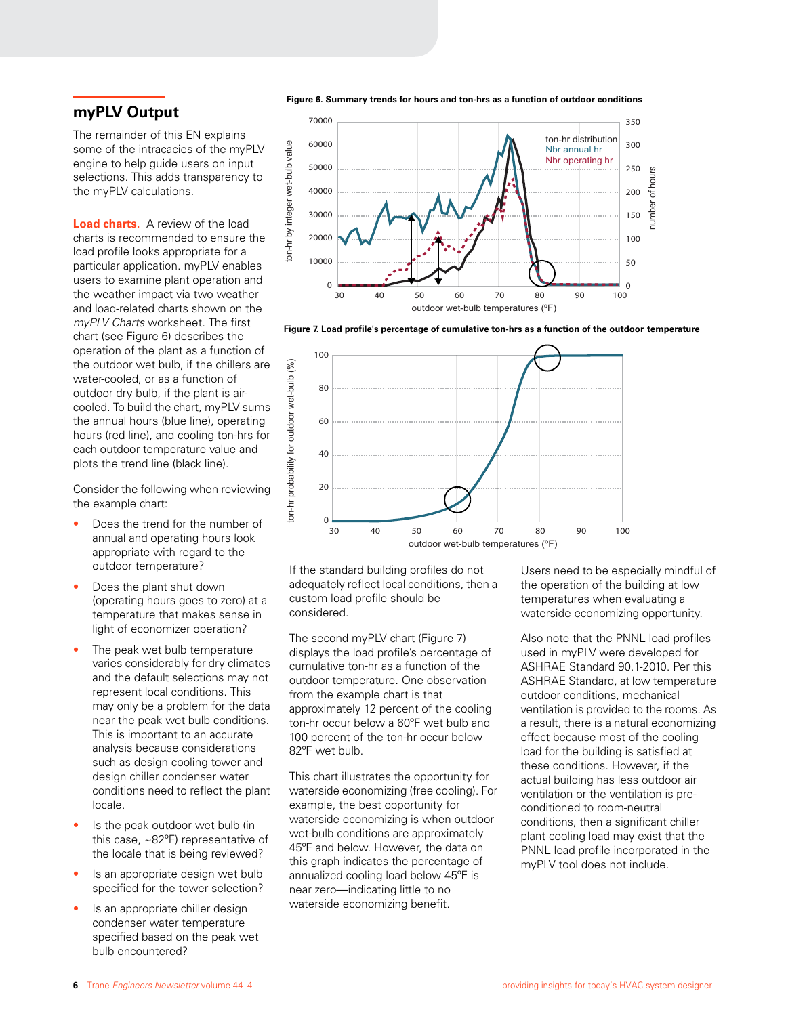# **myPLV Output**

The remainder of this EN explains some of the intracacies of the myPLV engine to help guide users on input selections. This adds transparency to the myPLV calculations.

**Load charts.** A review of the load charts is recommended to ensure the load profile looks appropriate for a particular application. myPLV enables users to examine plant operation and the weather impact via two weather and load-related charts shown on the *myPLV Charts* worksheet. The first chart (see Figure 6) describes the operation of the plant as a function of the outdoor wet bulb, if the chillers are water-cooled, or as a function of outdoor dry bulb, if the plant is aircooled. To build the chart, myPLV sums the annual hours (blue line), operating hours (red line), and cooling ton-hrs for each outdoor temperature value and plots the trend line (black line).

Consider the following when reviewing the example chart:

- Does the trend for the number of annual and operating hours look appropriate with regard to the outdoor temperature?
- Does the plant shut down (operating hours goes to zero) at a temperature that makes sense in light of economizer operation?
- The peak wet bulb temperature varies considerably for dry climates and the default selections may not represent local conditions. This may only be a problem for the data near the peak wet bulb conditions. This is important to an accurate analysis because considerations such as design cooling tower and design chiller condenser water conditions need to reflect the plant locale.
- Is the peak outdoor wet bulb (in this case, ~82ºF) representative of the locale that is being reviewed?
- Is an appropriate design wet bulb specified for the tower selection?
- Is an appropriate chiller design condenser water temperature specified based on the peak wet bulb encountered?

**Figure 6. Summary trends for hours and ton-hrs as a function of outdoor conditions**



**Figure 7. Load profile's percentage of cumulative ton-hrs as a function of the outdoor temperature**



If the standard building profiles do not adequately reflect local conditions, then a custom load profile should be considered.

The second myPLV chart (Figure 7) displays the load profile's percentage of cumulative ton-hr as a function of the outdoor temperature. One observation from the example chart is that approximately 12 percent of the cooling ton-hr occur below a 60ºF wet bulb and 100 percent of the ton-hr occur below 82ºF wet bulb.

This chart illustrates the opportunity for waterside economizing (free cooling). For example, the best opportunity for waterside economizing is when outdoor wet-bulb conditions are approximately 45ºF and below. However, the data on this graph indicates the percentage of annualized cooling load below 45ºF is near zero—indicating little to no waterside economizing benefit.

Users need to be especially mindful of the operation of the building at low temperatures when evaluating a waterside economizing opportunity.

Also note that the PNNL load profiles used in myPLV were developed for ASHRAE Standard 90.1-2010. Per this ASHRAE Standard, at low temperature outdoor conditions, mechanical ventilation is provided to the rooms. As a result, there is a natural economizing effect because most of the cooling load for the building is satisfied at these conditions. However, if the actual building has less outdoor air ventilation or the ventilation is preconditioned to room-neutral conditions, then a significant chiller plant cooling load may exist that the PNNL load profile incorporated in the myPLV tool does not include.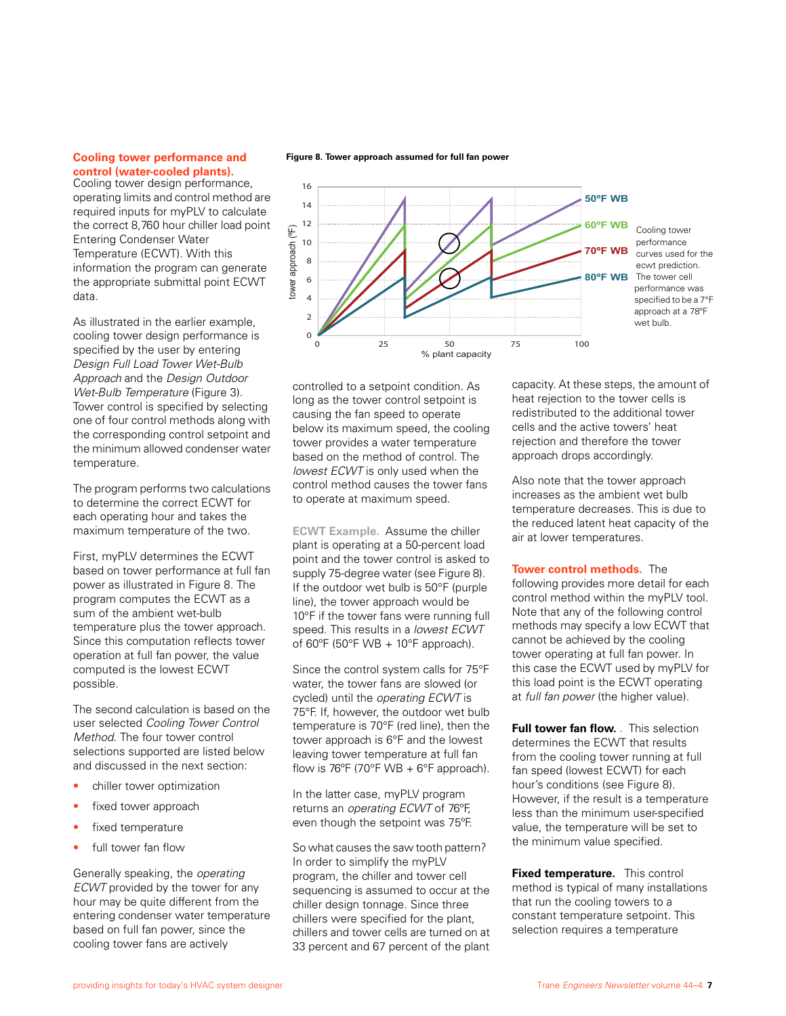#### **Cooling tower performance and control (water-cooled plants).**

Cooling tower design performance, operating limits and control method are required inputs for myPLV to calculate the correct 8,760 hour chiller load point Entering Condenser Water Temperature (ECWT). With this information the program can generate the appropriate submittal point ECWT data.

As illustrated in the earlier example, cooling tower design performance is specified by the user by entering *Design Full Load Tower Wet-Bulb Approach* and the *Design Outdoor Wet-Bulb Temperature* (Figure 3). Tower control is specified by selecting one of four control methods along with the corresponding control setpoint and the minimum allowed condenser water temperature.

The program performs two calculations to determine the correct ECWT for each operating hour and takes the maximum temperature of the two.

First, myPLV determines the ECWT based on tower performance at full fan power as illustrated in Figure 8. The program computes the ECWT as a sum of the ambient wet-bulb temperature plus the tower approach. Since this computation reflects tower operation at full fan power, the value computed is the lowest ECWT possible.

The second calculation is based on the user selected *Cooling Tower Control Method.* The four tower control selections supported are listed below and discussed in the next section:

- chiller tower optimization
- fixed tower approach
- fixed temperature
- full tower fan flow

Generally speaking, the *operating ECWT* provided by the tower for any hour may be quite different from the entering condenser water temperature based on full fan power, since the cooling tower fans are actively





controlled to a setpoint condition. As long as the tower control setpoint is causing the fan speed to operate below its maximum speed, the cooling tower provides a water temperature based on the method of control. The *lowest ECWT* is only used when the control method causes the tower fans to operate at maximum speed.

**ECWT Example.** Assume the chiller plant is operating at a 50-percent load point and the tower control is asked to supply 75-degree water (see Figure 8). If the outdoor wet bulb is 50°F (purple line), the tower approach would be 10°F if the tower fans were running full speed. This results in a *lowest ECWT* of 60 $\degree$ F (50 $\degree$ F WB + 10 $\degree$ F approach).

Since the control system calls for 75°F water, the tower fans are slowed (or cycled) until the *operating ECWT* is 75°F. If, however, the outdoor wet bulb temperature is 70°F (red line), then the tower approach is 6°F and the lowest leaving tower temperature at full fan flow is 76 $\mathrm{^{\circ}F}$  (70 $\mathrm{^{\circ}F}$  WB + 6 $\mathrm{^{\circ}F}$  approach).

In the latter case, myPLV program returns an *operating ECWT* of 76ºF, even though the setpoint was 75ºF.

So what causes the saw tooth pattern? In order to simplify the myPLV program, the chiller and tower cell sequencing is assumed to occur at the chiller design tonnage. Since three chillers were specified for the plant, chillers and tower cells are turned on at 33 percent and 67 percent of the plant

capacity. At these steps, the amount of heat rejection to the tower cells is redistributed to the additional tower cells and the active towers' heat rejection and therefore the tower approach drops accordingly.

Also note that the tower approach increases as the ambient wet bulb temperature decreases. This is due to the reduced latent heat capacity of the air at lower temperatures.

#### **Tower control methods.** The

following provides more detail for each control method within the myPLV tool. Note that any of the following control methods may specify a low ECWT that cannot be achieved by the cooling tower operating at full fan power. In this case the ECWT used by myPLV for this load point is the ECWT operating at *full fan power* (the higher value).

**Full tower fan flow.** This selection determines the ECWT that results from the cooling tower running at full fan speed (lowest ECWT) for each hour's conditions (see Figure 8). However, if the result is a temperature less than the minimum user-specified value, the temperature will be set to the minimum value specified.

**Fixed temperature.** This control method is typical of many installations that run the cooling towers to a constant temperature setpoint. This selection requires a temperature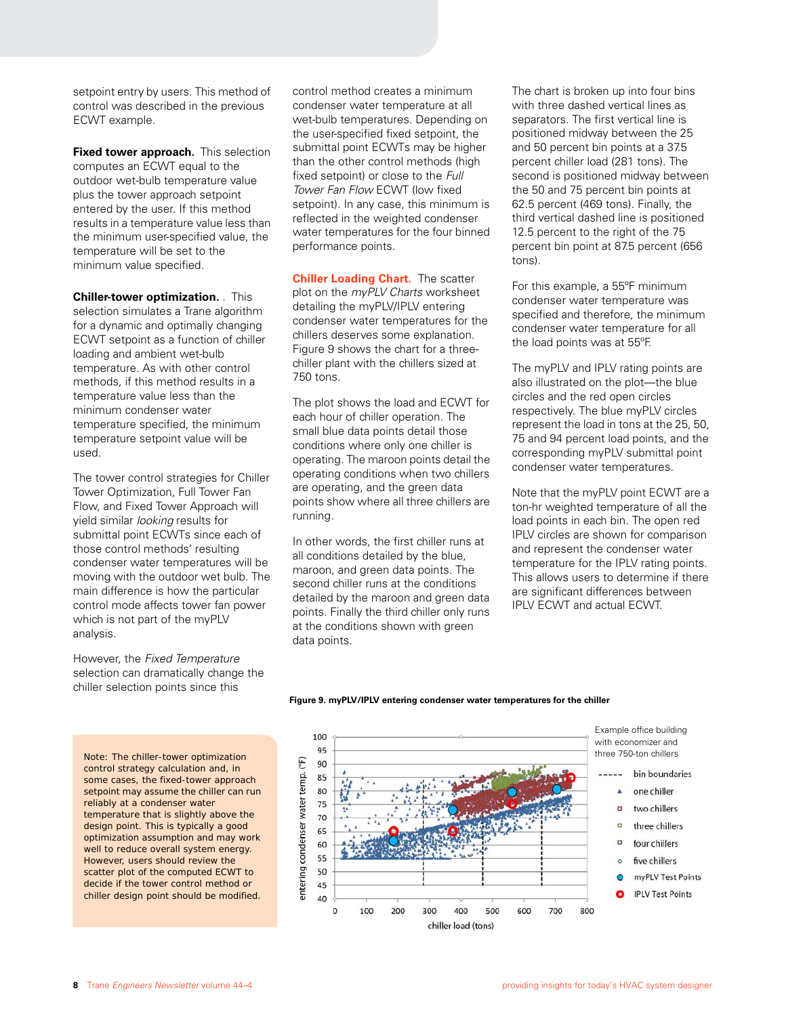setpoint entry by users. This method of control was described in the previous ECWT example.

**Fixed tower approach.** This selection computes an ECWT equal to the outdoor wet-bulb temperature value plus the tower approach setpoint entered by the user. If this method results in a temperature value less than the minimum user-specified value, the temperature will be set to the minimum value specified.

**Chiller-tower optimization. .** This selection simulates a Trane algorithm for a dynamic and optimally changing ECWT setpoint as a function of chiller loading and ambient wet-bulb temperature. As with other control methods, if this method results in a temperature value less than the minimum condenser water temperature specified, the minimum temperature setpoint value will be used.

The tower control strategies for Chiller Tower Optimization, Full Tower Fan Flow, and Fixed Tower Approach will yield similar *looking* results for submittal point ECWTs since each of those control methods' resulting condenser water temperatures will be moving with the outdoor wet bulb. The main difference is how the particular control mode affects tower fan power which is not part of the myPLV analysis.

However, the *Fixed Temperature* selection can dramatically change the chiller selection points since this

Note: The chiller-tower optimization  $\begin{array}{cc} 95 \\ \text{Q} & 90 \end{array}$ control strategy calculation and, in some cases, the fixed-tower approach setpoint may assume the chiller can run reliably at a condenser water temperature that is slightly above the design point. This is typically a good optimization assumption and may work well to reduce overall system energy. However, users should review the scatter plot of the computed ECWT to decide if the tower control method or chiller design point should be modified.

control method creates a minimum condenser water temperature at all wet-bulb temperatures. Depending on the user-specified fixed setpoint, the submittal point ECWTs may be higher than the other control methods (high fixed setpoint) or close to the *Full Tower Fan Flow* ECWT (low fixed setpoint). In any case, this minimum is reflected in the weighted condenser water temperatures for the four binned performance points.

**Chiller Loading Chart.** The scatter plot on the *myPLV Charts* worksheet detailing the myPLV/IPLV entering condenser water temperatures for the chillers deserves some explanation. Figure 9 shows the chart for a threechiller plant with the chillers sized at 750 tons.

The plot shows the load and ECWT for each hour of chiller operation. The small blue data points detail those conditions where only one chiller is operating. The maroon points detail the operating conditions when two chillers are operating, and the green data points show where all three chillers are running.

In other words, the first chiller runs at all conditions detailed by the blue, maroon, and green data points. The second chiller runs at the conditions detailed by the maroon and green data points. Finally the third chiller only runs at the conditions shown with green data points.

The chart is broken up into four bins with three dashed vertical lines as separators. The first vertical line is positioned midway between the 25 and 50 percent bin points at a 37.5 percent chiller load (281 tons). The second is positioned midway between the 50 and 75 percent bin points at 62.5 percent (469 tons). Finally, the third vertical dashed line is positioned 12.5 percent to the right of the 75 percent bin point at 87.5 percent (656 tons).

For this example, a 55ºF minimum condenser water temperature was specified and therefore, the minimum condenser water temperature for all the load points was at 55ºF.

The myPLV and IPLV rating points are also illustrated on the plot—the blue circles and the red open circles respectively. The blue myPLV circles represent the load in tons at the 25, 50, 75 and 94 percent load points, and the corresponding myPLV submittal point condenser water temperatures.

Note that the myPLV point ECWT are a ton-hr weighted temperature of all the load points in each bin. The open red IPLV circles are shown for comparison and represent the condenser water temperature for the IPLV rating points. This allows users to determine if there are significant differences between IPLV ECWT and actual ECWT.



#### **Figure 9. myPLV/IPLV entering condenser water temperatures for the chiller**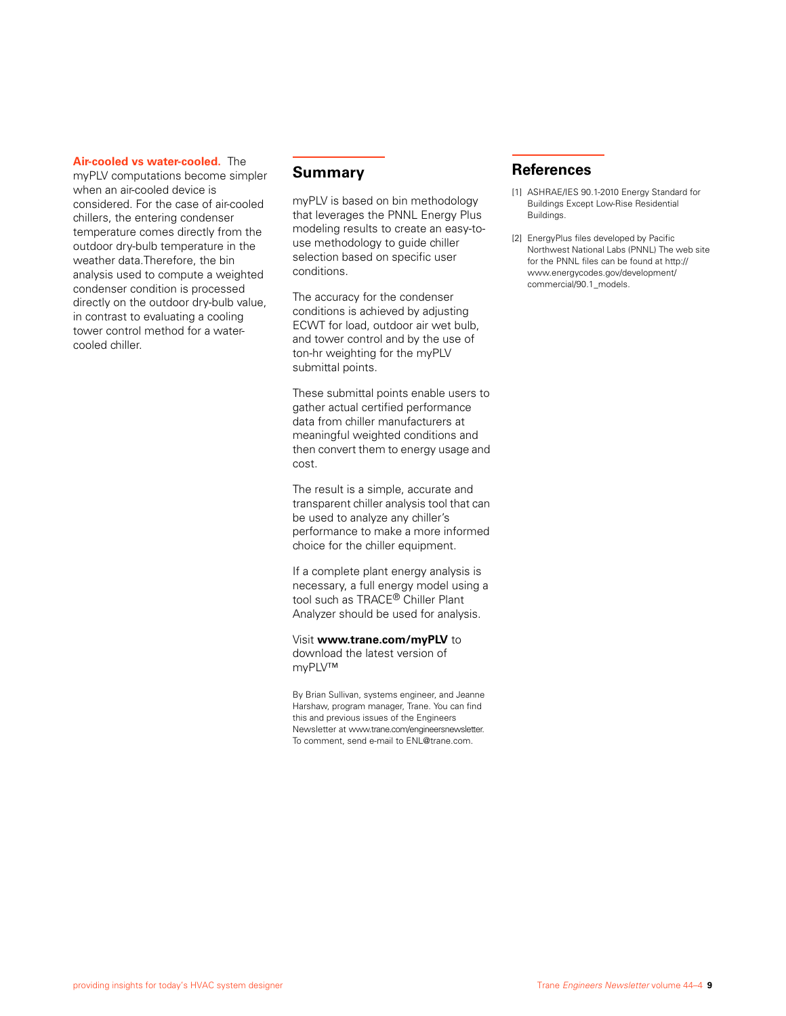**Air-cooled vs water-cooled.** The

myPLV computations become simpler when an air-cooled device is considered. For the case of air-cooled chillers, the entering condenser temperature comes directly from the outdoor dry-bulb temperature in the weather data.Therefore, the bin analysis used to compute a weighted condenser condition is processed directly on the outdoor dry-bulb value, in contrast to evaluating a cooling tower control method for a watercooled chiller.

### **Summary**

myPLV is based on bin methodology that leverages the PNNL Energy Plus modeling results to create an easy-touse methodology to guide chiller selection based on specific user conditions.

The accuracy for the condenser conditions is achieved by adjusting ECWT for load, outdoor air wet bulb, and tower control and by the use of ton-hr weighting for the myPLV submittal points.

These submittal points enable users to gather actual certified performance data from chiller manufacturers at meaningful weighted conditions and then convert them to energy usage and cost.

The result is a simple, accurate and transparent chiller analysis tool that can be used to analyze any chiller's performance to make a more informed choice for the chiller equipment.

If a complete plant energy analysis is necessary, a full energy model using a tool such as TRACE® Chiller Plant Analyzer should be used for analysis.

Visit **www.trane.com/myPLV** to

download the latest version of myPLV™

By Brian Sullivan, systems engineer, and Jeanne Harshaw, program manager, Trane. You can find this and previous issues of the Engineers Newsletter at www.trane.com/engineersnewsletter. To comment, send e-mail to ENL@trane.com.

# **References**

- [1] ASHRAE/IES 90.1-2010 Energy Standard for Buildings Except Low-Rise Residential Buildings.
- [2] EnergyPlus files developed by Pacific Northwest National Labs (PNNL) The web site for the PNNL files can be found at http:// www.energycodes.gov/development/ commercial/90.1\_models.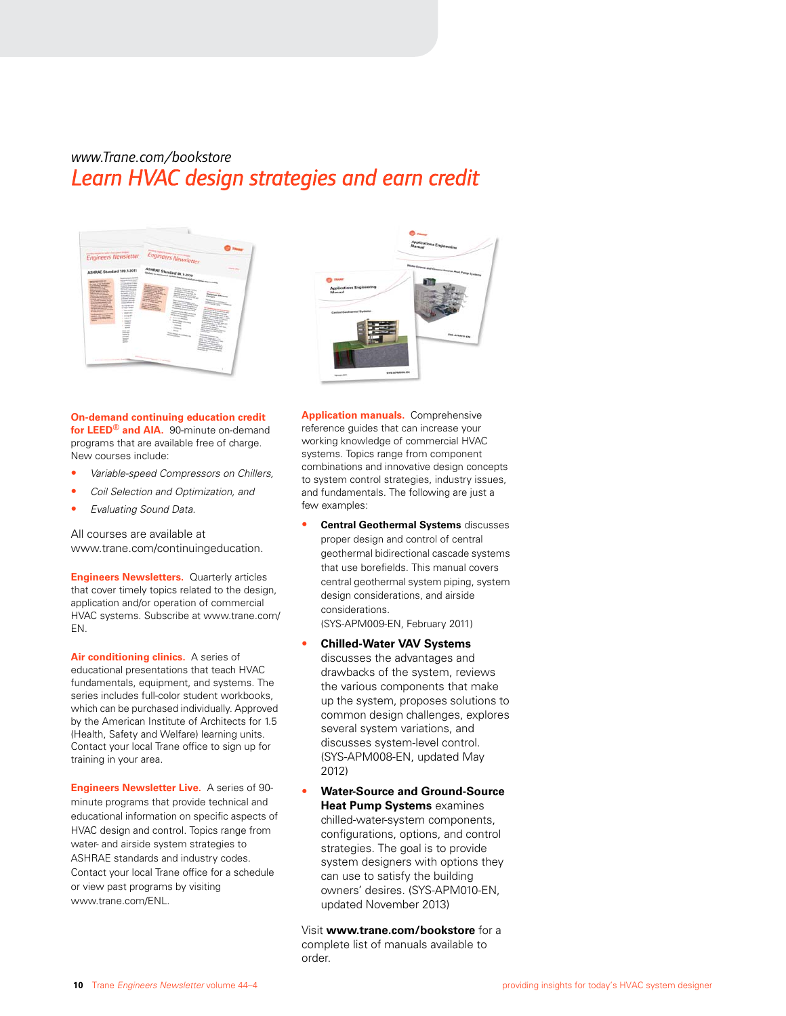# *www.Trane.com/bookstore Learn HVAC design strategies and earn credit*





**On-demand continuing education credit for LEED® and AIA.** 90-minute on-demand programs that are available free of charge. New courses include:

- *Variable-speed Compressors on Chillers,*
- *Coil Selection and Optimization, and*
- *Evaluating Sound Data.*

All courses are available at www.trane.com/continuingeducation.

**Engineers Newsletters.** Quarterly articles that cover timely topics related to the design, application and/or operation of commercial HVAC systems. Subscribe at www.trane.com/ EN.

**Air conditioning clinics.** A series of educational presentations that teach HVAC fundamentals, equipment, and systems. The series includes full-color student workbooks, which can be purchased individually. Approved by the American Institute of Architects for 1.5 (Health, Safety and Welfare) learning units. Contact your local Trane office to sign up for training in your area.

**Engineers Newsletter Live.** A series of 90 minute programs that provide technical and educational information on specific aspects of HVAC design and control. Topics range from water- and airside system strategies to ASHRAE standards and industry codes. Contact your local Trane office for a schedule or view past programs by visiting www.trane.com/ENL.

**Application manuals.** Comprehensive reference guides that can increase your working knowledge of commercial HVAC systems. Topics range from component combinations and innovative design concepts to system control strategies, industry issues, and fundamentals. The following are just a few examples:

- **Central Geothermal Systems** discusses proper design and control of central geothermal bidirectional cascade systems that use borefields. This manual covers central geothermal system piping, system design considerations, and airside considerations. (SYS-APM009-EN, February 2011)
- **Chilled-Water VAV Systems** discusses the advantages and drawbacks of the system, reviews the various components that make up the system, proposes solutions to common design challenges, explores several system variations, and discusses system-level control. (SYS-APM008-EN, updated May 2012)
- **Water-Source and Ground-Source Heat Pump Systems** examines chilled-water-system components, configurations, options, and control strategies. The goal is to provide system designers with options they can use to satisfy the building owners' desires. (SYS-APM010-EN, updated November 2013)

Visit **www.trane.com/bookstore** for a complete list of manuals available to order.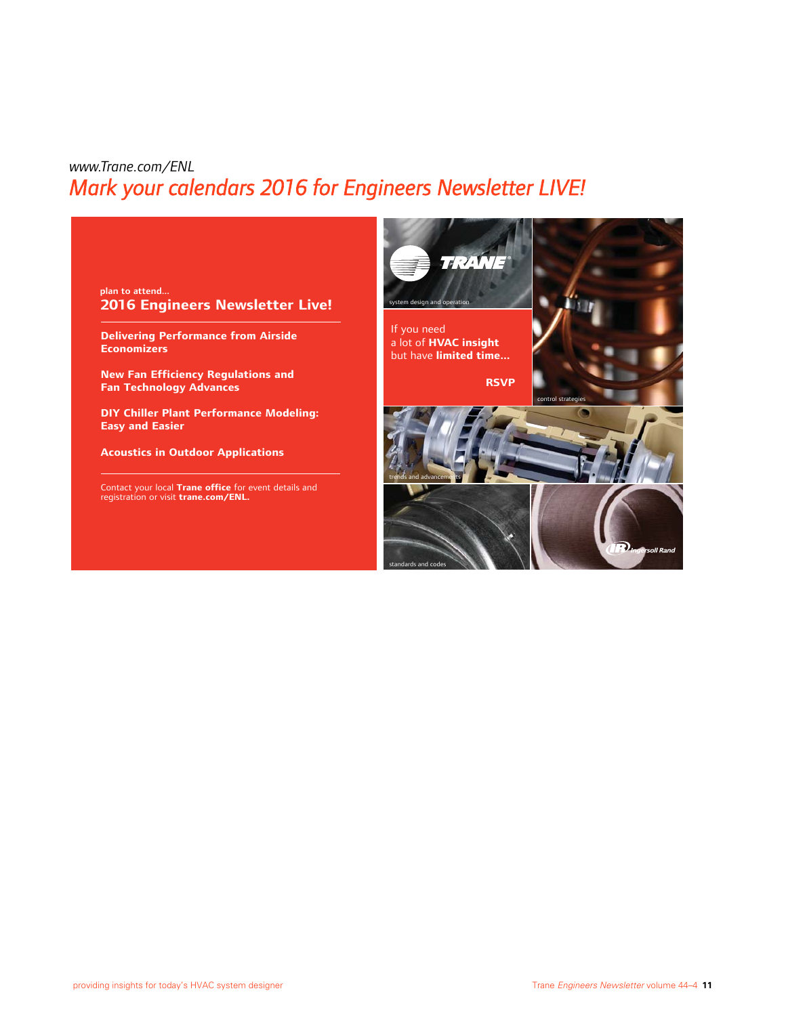# *www.Trane.com/ENL Mark your calendars 2016 for Engineers Newsletter LIVE!*



**Delivering Performance from Airside Economizers**

**New Fan Efficiency Regulations and Fan Technology Advances** 

**DIY Chiller Plant Performance Modeling: Easy and Easier** 

**Acoustics in Outdoor Applications**

Contact your local **Trane office** for event details and registration or visit **trane.com/ENL.**